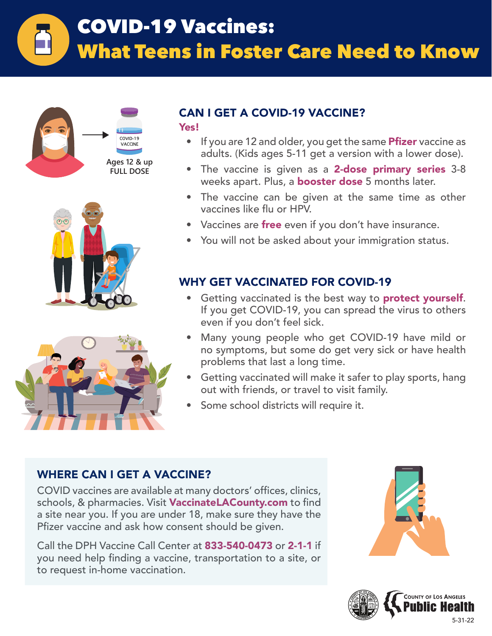# COVID-19 Vaccines: What Teens in Foster Care Need to Know **Ages 5-11**







# CAN I GET A COVID-19 VACCINE?

Yes!

- If you are 12 and older, you get the same **Pfizer** vaccine as adults. (Kids ages 5-11 get a version with a lower dose).
- The vaccine is given as a 2-dose primary series 3-8 weeks apart. Plus, a **booster dose** 5 months later.
- The vaccine can be given at the same time as other vaccines like flu or HPV.
- Vaccines are free even if you don't have insurance.
- You will not be asked about your immigration status.

# WHY GET VACCINATED FOR COVID-19

- Getting vaccinated is the best way to **protect yourself**. If you get COVID-19, you can spread the virus to others even if you don't feel sick.
- Many young people who get COVID-19 have mild or no symptoms, but some do get very sick or have health problems that last a long time.
- Getting vaccinated will make it safer to play sports, hang out with friends, or travel to visit family.
- Some school districts will require it.

# WHERE CAN I GET A VACCINE?

COVID vaccines are available at many doctors' offices, clinics, schools, & pharmacies. Visit VaccinateLACounty.com to find a site near you. If you are under 18, make sure they have the Pfizer vaccine and ask how consent should be given.

Call the DPH Vaccine Call Center at 833-540-0473 or 2-1-1 if you need help finding a vaccine, transportation to a site, or to request in-home vaccination.